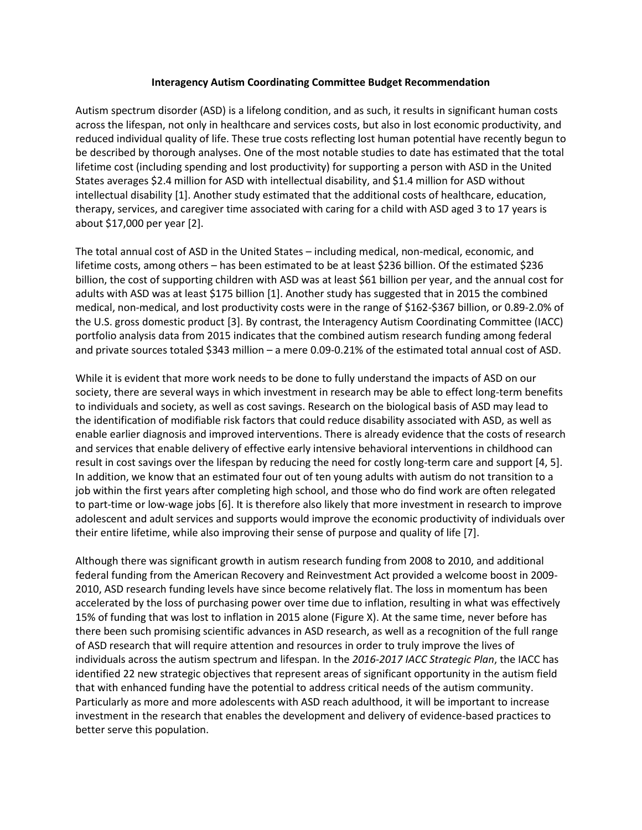## **Interagency Autism Coordinating Committee Budget Recommendation**

Autism spectrum disorder (ASD) is a lifelong condition, and as such, it results in significant human costs across the lifespan, not only in healthcare and services costs, but also in lost economic productivity, and reduced individual quality of life. These true costs reflecting lost human potential have recently begun to be described by thorough analyses. One of the most notable studies to date has estimated that the total lifetime cost (including spending and lost productivity) for supporting a person with ASD in the United States averages \$2.4 million for ASD with intellectual disability, and \$1.4 million for ASD without intellectual disability [1]. Another study estimated that the additional costs of healthcare, education, therapy, services, and caregiver time associated with caring for a child with ASD aged 3 to 17 years is about \$17,000 per year [2].

The total annual cost of ASD in the United States – including medical, non-medical, economic, and lifetime costs, among others – has been estimated to be at least \$236 billion. Of the estimated \$236 billion, the cost of supporting children with ASD was at least \$61 billion per year, and the annual cost for adults with ASD was at least \$175 billion [1]. Another study has suggested that in 2015 the combined medical, non-medical, and lost productivity costs were in the range of \$162-\$367 billion, or 0.89-2.0% of the U.S. gross domestic product [3]. By contrast, the Interagency Autism Coordinating Committee (IACC) portfolio analysis data from 2015 indicates that the combined autism research funding among federal and private sources totaled \$343 million – a mere 0.09-0.21% of the estimated total annual cost of ASD.

While it is evident that more work needs to be done to fully understand the impacts of ASD on our society, there are several ways in which investment in research may be able to effect long-term benefits to individuals and society, as well as cost savings. Research on the biological basis of ASD may lead to the identification of modifiable risk factors that could reduce disability associated with ASD, as well as enable earlier diagnosis and improved interventions. There is already evidence that the costs of research and services that enable delivery of effective early intensive behavioral interventions in childhood can result in cost savings over the lifespan by reducing the need for costly long-term care and support [4, 5]. In addition, we know that an estimated four out of ten young adults with autism do not transition to a job within the first years after completing high school, and those who do find work are often relegated to part-time or low-wage jobs [6]. It is therefore also likely that more investment in research to improve adolescent and adult services and supports would improve the economic productivity of individuals over their entire lifetime, while also improving their sense of purpose and quality of life [7].

Although there was significant growth in autism research funding from 2008 to 2010, and additional federal funding from the American Recovery and Reinvestment Act provided a welcome boost in 2009- 2010, ASD research funding levels have since become relatively flat. The loss in momentum has been accelerated by the loss of purchasing power over time due to inflation, resulting in what was effectively 15% of funding that was lost to inflation in 2015 alone (Figure X). At the same time, never before has there been such promising scientific advances in ASD research, as well as a recognition of the full range of ASD research that will require attention and resources in order to truly improve the lives of individuals across the autism spectrum and lifespan. In the *2016-2017 IACC Strategic Plan*, the IACC has identified 22 new strategic objectives that represent areas of significant opportunity in the autism field that with enhanced funding have the potential to address critical needs of the autism community. Particularly as more and more adolescents with ASD reach adulthood, it will be important to increase investment in the research that enables the development and delivery of evidence-based practices to better serve this population.